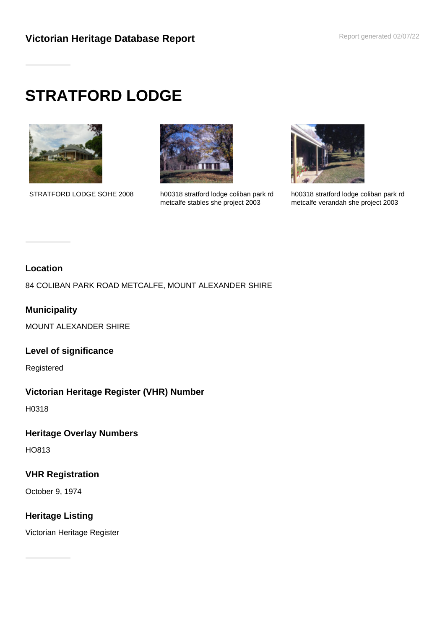# **STRATFORD LODGE**





STRATFORD LODGE SOHE 2008 h00318 stratford lodge coliban park rd metcalfe stables she project 2003



h00318 stratford lodge coliban park rd metcalfe verandah she project 2003

#### **Location**

84 COLIBAN PARK ROAD METCALFE, MOUNT ALEXANDER SHIRE

# **Municipality**

MOUNT ALEXANDER SHIRE

#### **Level of significance**

Registered

### **Victorian Heritage Register (VHR) Number**

H0318

### **Heritage Overlay Numbers**

HO813

### **VHR Registration**

October 9, 1974

# **Heritage Listing**

Victorian Heritage Register